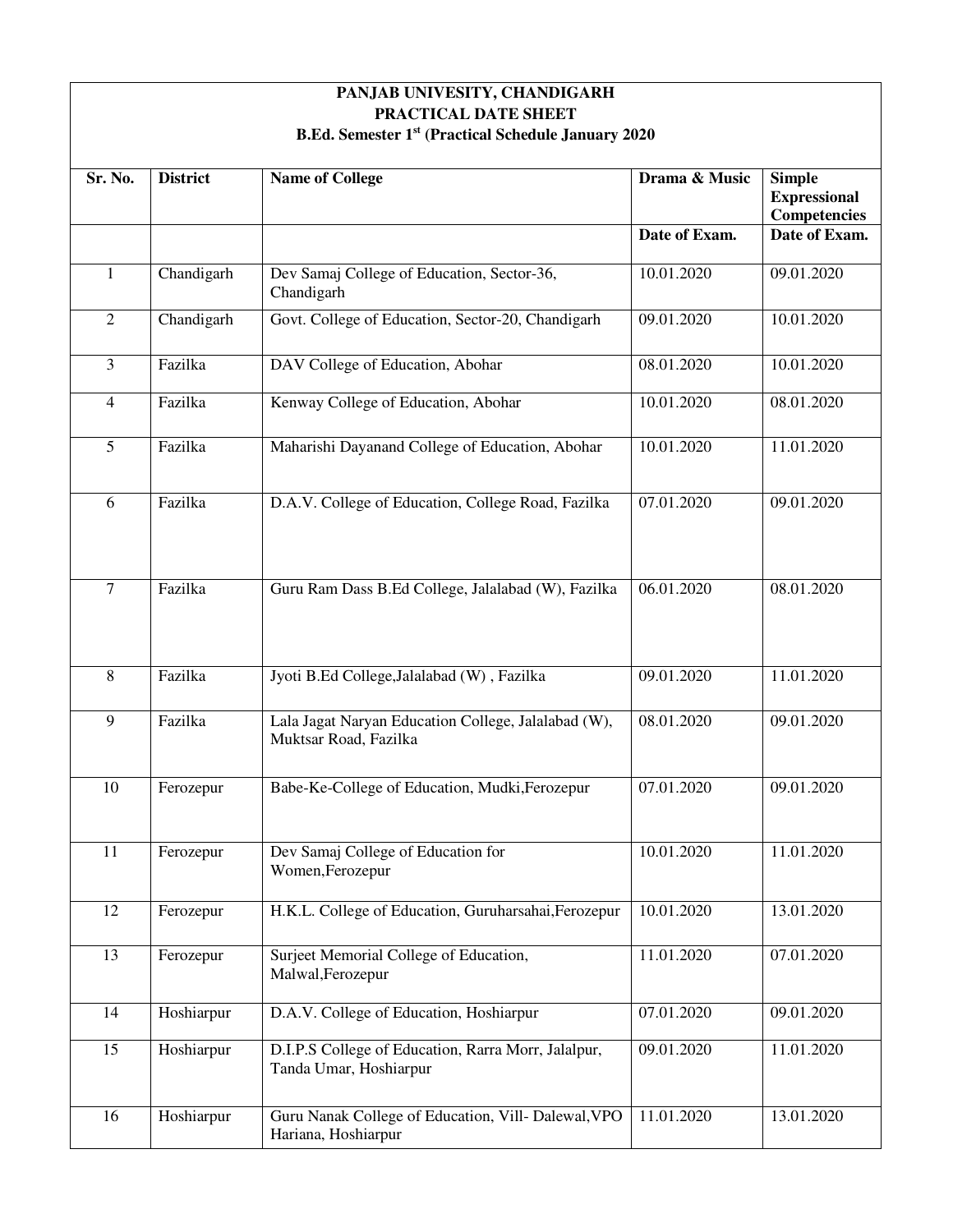| PANJAB UNIVESITY, CHANDIGARH                                                |                 |                                                                               |               |                                                      |
|-----------------------------------------------------------------------------|-----------------|-------------------------------------------------------------------------------|---------------|------------------------------------------------------|
| PRACTICAL DATE SHEET<br>B.Ed. Semester 1st (Practical Schedule January 2020 |                 |                                                                               |               |                                                      |
| Sr. No.                                                                     | <b>District</b> | <b>Name of College</b>                                                        | Drama & Music | <b>Simple</b><br><b>Expressional</b><br>Competencies |
|                                                                             |                 |                                                                               | Date of Exam. | Date of Exam.                                        |
| $\mathbf{1}$                                                                | Chandigarh      | Dev Samaj College of Education, Sector-36,<br>Chandigarh                      | 10.01.2020    | 09.01.2020                                           |
| $\mathfrak{2}$                                                              | Chandigarh      | Govt. College of Education, Sector-20, Chandigarh                             | 09.01.2020    | 10.01.2020                                           |
| 3                                                                           | Fazilka         | DAV College of Education, Abohar                                              | 08.01.2020    | 10.01.2020                                           |
| $\overline{4}$                                                              | Fazilka         | Kenway College of Education, Abohar                                           | 10.01.2020    | 08.01.2020                                           |
| 5                                                                           | Fazilka         | Maharishi Dayanand College of Education, Abohar                               | 10.01.2020    | 11.01.2020                                           |
| 6                                                                           | Fazilka         | D.A.V. College of Education, College Road, Fazilka                            | 07.01.2020    | 09.01.2020                                           |
| $\overline{7}$                                                              | Fazilka         | Guru Ram Dass B.Ed College, Jalalabad (W), Fazilka                            | 06.01.2020    | 08.01.2020                                           |
| 8                                                                           | Fazilka         | Jyoti B.Ed College, Jalalabad (W), Fazilka                                    | 09.01.2020    | 11.01.2020                                           |
| 9                                                                           | Fazilka         | Lala Jagat Naryan Education College, Jalalabad (W),<br>Muktsar Road, Fazilka  | 08.01.2020    | 09.01.2020                                           |
| 10                                                                          | Ferozepur       | Babe-Ke-College of Education, Mudki, Ferozepur                                | 07.01.2020    | 09.01.2020                                           |
| 11                                                                          | Ferozepur       | Dev Samaj College of Education for<br>Women, Ferozepur                        | 10.01.2020    | 11.01.2020                                           |
| 12                                                                          | Ferozepur       | H.K.L. College of Education, Guruharsahai, Ferozepur                          | 10.01.2020    | 13.01.2020                                           |
| 13                                                                          | Ferozepur       | Surject Memorial College of Education,<br>Malwal, Ferozepur                   | 11.01.2020    | 07.01.2020                                           |
| 14                                                                          | Hoshiarpur      | D.A.V. College of Education, Hoshiarpur                                       | 07.01.2020    | 09.01.2020                                           |
| 15                                                                          | Hoshiarpur      | D.I.P.S College of Education, Rarra Morr, Jalalpur,<br>Tanda Umar, Hoshiarpur | 09.01.2020    | 11.01.2020                                           |
| 16                                                                          | Hoshiarpur      | Guru Nanak College of Education, Vill- Dalewal, VPO<br>Hariana, Hoshiarpur    | 11.01.2020    | 13.01.2020                                           |

 $\overline{\Gamma}$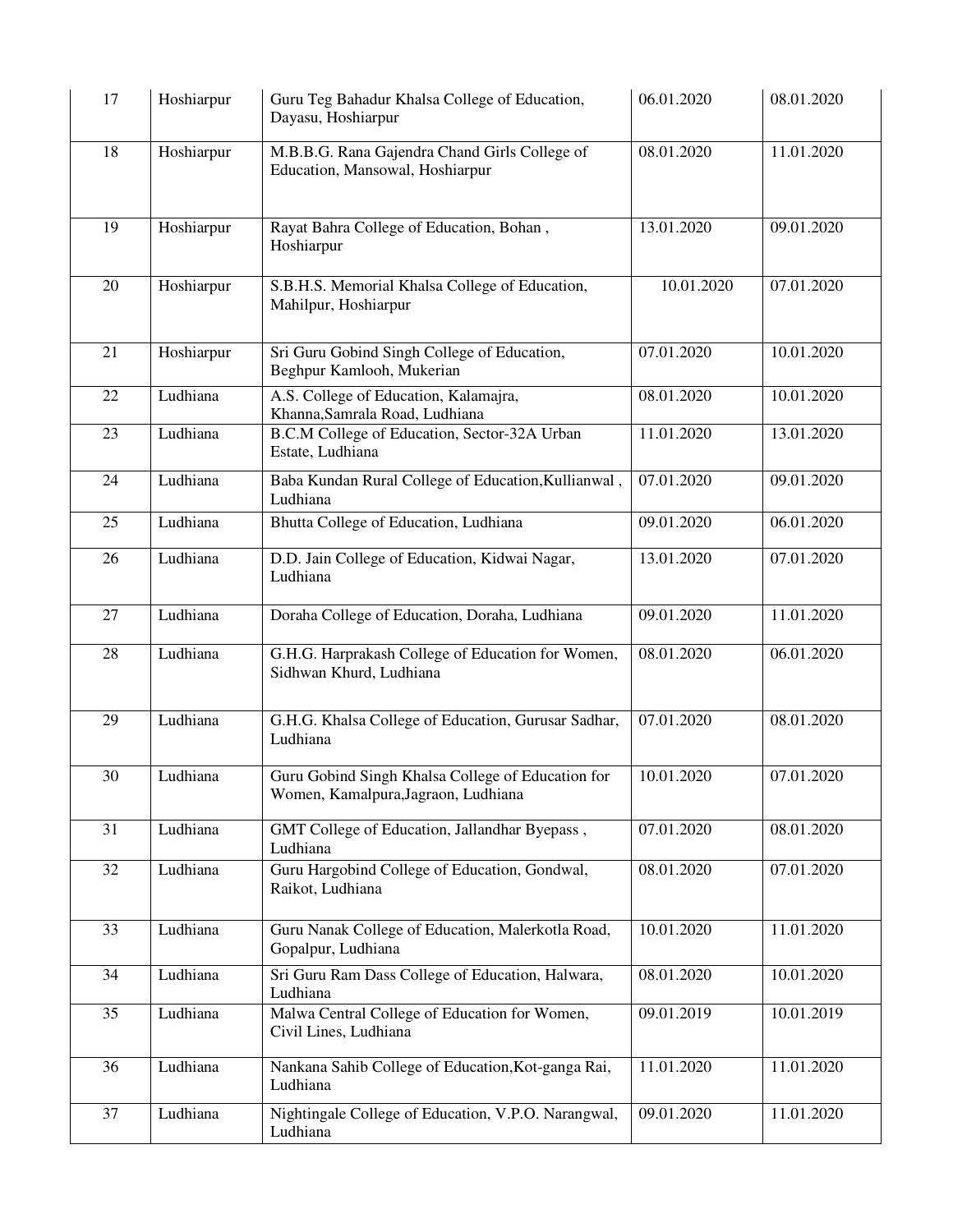| 17 | Hoshiarpur | Guru Teg Bahadur Khalsa College of Education,<br>Dayasu, Hoshiarpur                      | 06.01.2020 | 08.01.2020 |
|----|------------|------------------------------------------------------------------------------------------|------------|------------|
| 18 | Hoshiarpur | M.B.B.G. Rana Gajendra Chand Girls College of<br>Education, Mansowal, Hoshiarpur         | 08.01.2020 | 11.01.2020 |
| 19 | Hoshiarpur | Rayat Bahra College of Education, Bohan,<br>Hoshiarpur                                   | 13.01.2020 | 09.01.2020 |
| 20 | Hoshiarpur | S.B.H.S. Memorial Khalsa College of Education,<br>Mahilpur, Hoshiarpur                   | 10.01.2020 | 07.01.2020 |
| 21 | Hoshiarpur | Sri Guru Gobind Singh College of Education,<br>Beghpur Kamlooh, Mukerian                 | 07.01.2020 | 10.01.2020 |
| 22 | Ludhiana   | A.S. College of Education, Kalamajra,<br>Khanna, Samrala Road, Ludhiana                  | 08.01.2020 | 10.01.2020 |
| 23 | Ludhiana   | B.C.M College of Education, Sector-32A Urban<br>Estate, Ludhiana                         | 11.01.2020 | 13.01.2020 |
| 24 | Ludhiana   | Baba Kundan Rural College of Education, Kullianwal,<br>Ludhiana                          | 07.01.2020 | 09.01.2020 |
| 25 | Ludhiana   | Bhutta College of Education, Ludhiana                                                    | 09.01.2020 | 06.01.2020 |
| 26 | Ludhiana   | D.D. Jain College of Education, Kidwai Nagar,<br>Ludhiana                                | 13.01.2020 | 07.01.2020 |
| 27 | Ludhiana   | Doraha College of Education, Doraha, Ludhiana                                            | 09.01.2020 | 11.01.2020 |
| 28 | Ludhiana   | G.H.G. Harprakash College of Education for Women,<br>Sidhwan Khurd, Ludhiana             | 08.01.2020 | 06.01.2020 |
| 29 | Ludhiana   | G.H.G. Khalsa College of Education, Gurusar Sadhar,<br>Ludhiana                          | 07.01.2020 | 08.01.2020 |
| 30 | Ludhiana   | Guru Gobind Singh Khalsa College of Education for<br>Women, Kamalpura, Jagraon, Ludhiana | 10.01.2020 | 07.01.2020 |
| 31 | Ludhiana   | GMT College of Education, Jallandhar Byepass,<br>Ludhiana                                | 07.01.2020 | 08.01.2020 |
| 32 | Ludhiana   | Guru Hargobind College of Education, Gondwal,<br>Raikot, Ludhiana                        | 08.01.2020 | 07.01.2020 |
| 33 | Ludhiana   | Guru Nanak College of Education, Malerkotla Road,<br>Gopalpur, Ludhiana                  | 10.01.2020 | 11.01.2020 |
| 34 | Ludhiana   | Sri Guru Ram Dass College of Education, Halwara,<br>Ludhiana                             | 08.01.2020 | 10.01.2020 |
| 35 | Ludhiana   | Malwa Central College of Education for Women,<br>Civil Lines, Ludhiana                   | 09.01.2019 | 10.01.2019 |
| 36 | Ludhiana   | Nankana Sahib College of Education, Kot-ganga Rai,<br>Ludhiana                           | 11.01.2020 | 11.01.2020 |
| 37 | Ludhiana   | Nightingale College of Education, V.P.O. Narangwal,<br>Ludhiana                          | 09.01.2020 | 11.01.2020 |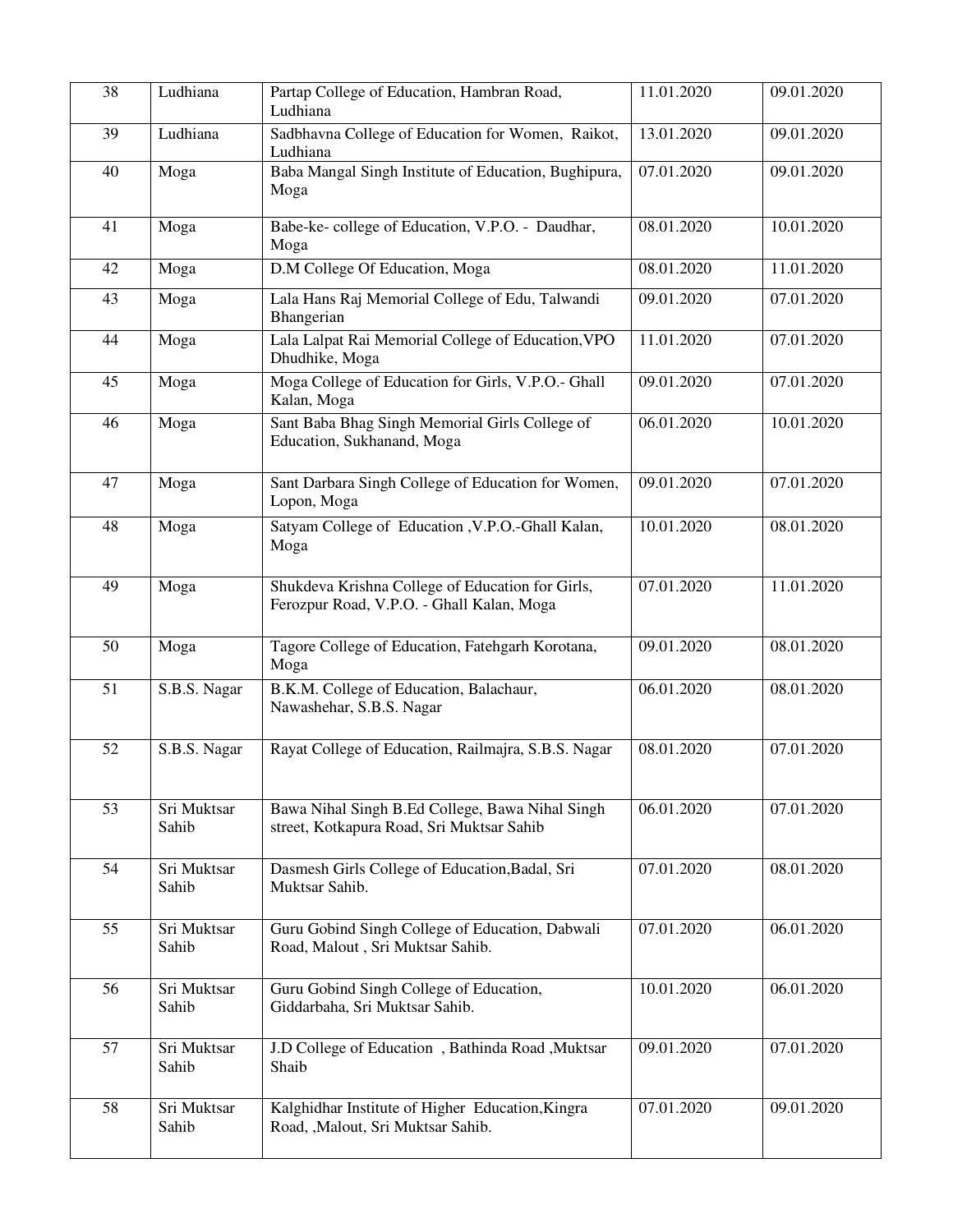| 38 | Ludhiana             | Partap College of Education, Hambran Road,<br>Ludhiana                                        | 11.01.2020 | 09.01.2020 |
|----|----------------------|-----------------------------------------------------------------------------------------------|------------|------------|
| 39 | Ludhiana             | Sadbhavna College of Education for Women, Raikot,<br>Ludhiana                                 | 13.01.2020 | 09.01.2020 |
| 40 | Moga                 | Baba Mangal Singh Institute of Education, Bughipura,<br>Moga                                  | 07.01.2020 | 09.01.2020 |
| 41 | Moga                 | Babe-ke-college of Education, V.P.O. - Daudhar,<br>Moga                                       | 08.01.2020 | 10.01.2020 |
| 42 | Moga                 | D.M College Of Education, Moga                                                                | 08.01.2020 | 11.01.2020 |
| 43 | Moga                 | Lala Hans Raj Memorial College of Edu, Talwandi<br>Bhangerian                                 | 09.01.2020 | 07.01.2020 |
| 44 | Moga                 | Lala Lalpat Rai Memorial College of Education, VPO<br>Dhudhike, Moga                          | 11.01.2020 | 07.01.2020 |
| 45 | Moga                 | Moga College of Education for Girls, V.P.O.- Ghall<br>Kalan, Moga                             | 09.01.2020 | 07.01.2020 |
| 46 | Moga                 | Sant Baba Bhag Singh Memorial Girls College of<br>Education, Sukhanand, Moga                  | 06.01.2020 | 10.01.2020 |
| 47 | Moga                 | Sant Darbara Singh College of Education for Women,<br>Lopon, Moga                             | 09.01.2020 | 07.01.2020 |
| 48 | Moga                 | Satyam College of Education , V.P.O.-Ghall Kalan,<br>Moga                                     | 10.01.2020 | 08.01.2020 |
| 49 | Moga                 | Shukdeva Krishna College of Education for Girls,<br>Ferozpur Road, V.P.O. - Ghall Kalan, Moga | 07.01.2020 | 11.01.2020 |
| 50 | Moga                 | Tagore College of Education, Fatehgarh Korotana,<br>Moga                                      | 09.01.2020 | 08.01.2020 |
| 51 | S.B.S. Nagar         | B.K.M. College of Education, Balachaur,<br>Nawashehar, S.B.S. Nagar                           | 06.01.2020 | 08.01.2020 |
| 52 | S.B.S. Nagar         | Rayat College of Education, Railmajra, S.B.S. Nagar                                           | 08.01.2020 | 07.01.2020 |
| 53 | Sri Muktsar<br>Sahib | Bawa Nihal Singh B.Ed College, Bawa Nihal Singh<br>street, Kotkapura Road, Sri Muktsar Sahib  | 06.01.2020 | 07.01.2020 |
| 54 | Sri Muktsar<br>Sahib | Dasmesh Girls College of Education, Badal, Sri<br>Muktsar Sahib.                              | 07.01.2020 | 08.01.2020 |
| 55 | Sri Muktsar<br>Sahib | Guru Gobind Singh College of Education, Dabwali<br>Road, Malout, Sri Muktsar Sahib.           | 07.01.2020 | 06.01.2020 |
| 56 | Sri Muktsar<br>Sahib | Guru Gobind Singh College of Education,<br>Giddarbaha, Sri Muktsar Sahib.                     | 10.01.2020 | 06.01.2020 |
| 57 | Sri Muktsar<br>Sahib | J.D College of Education, Bathinda Road, Muktsar<br>Shaib                                     | 09.01.2020 | 07.01.2020 |
| 58 | Sri Muktsar<br>Sahib | Kalghidhar Institute of Higher Education, Kingra<br>Road, , Malout, Sri Muktsar Sahib.        | 07.01.2020 | 09.01.2020 |